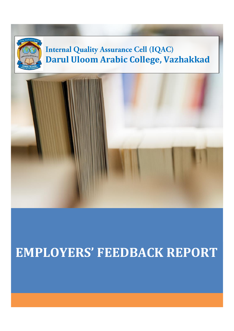

# **EMPLOYERS' FEEDBACK REPORT**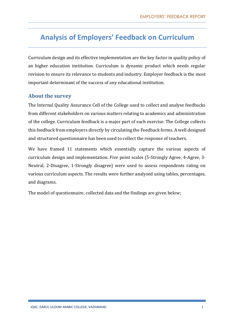# **Analysis of Employers' Feedback on Curriculum**

Curriculum design and its effective implementation are the key factor in quality policy of an higher education institution. Curriculum is dynamic product which needs regular revision to ensure its relevance to students and industry. Employer feedback is the most important determinant of the success of any educational institution.

### **About the survey**

The Internal Quality Assurance Cell of the College used to collect and analyse feedbacks from different stakeholders on various matters relating to academics and administration of the college. Curriculum feedback is a major part of such exercise. The College collects this feedback from employers directly by circulating the Feedback forms. A well designed and structured questionnaire has been used to collect the response of teachers.

We have framed 11 statements which essentially capture the various aspects of curriculum design and implementation. Five point scales (5-Strongly Agree, 4-Agree, 3- Neutral, 2-Disagree, 1-Strongly disagree) were used to assess respondents rating on various curriculum aspects. The results were further analysed using tables, percentages, and diagrams.

The model of questionnaire, collected data and the findings are given below;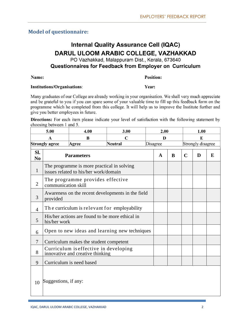# **Model of questionnaire:**

# **Internal Quality Assurance Cell (IQAC)** DARUL ULOOM ARABIC COLLEGE, VAZHAKKAD

PO Vazhakkad, Malappuram Dist., Kerala, 673640

# Questionnaires for Feedback from Emplover on Curriculum

#### Name:

#### **Position:**

Year:

#### **Institutions/Organisations:**

Many graduates of our College are already working in your organisation. We shall very much appreciate and be grateful to you if you can spare some of your valuable time to fill up this feedback form on the programme which he completed from this college. It will help us to improve the Institute further and give you better employees in future.

Directions: For each item please indicate your level of satisfaction with the following statement by choosing between 1 and 5.

|                       | 5.00                                                                      | 4.00                                                                                | 3.00                                          |  | 2.00         |   |                   | 1.00 |   |
|-----------------------|---------------------------------------------------------------------------|-------------------------------------------------------------------------------------|-----------------------------------------------|--|--------------|---|-------------------|------|---|
|                       | A                                                                         | B                                                                                   | $\mathbf C$                                   |  | D            |   |                   | E    |   |
|                       | <b>Strongly agree</b>                                                     | Agree                                                                               | <b>Neutral</b>                                |  | Disagree     |   | Strongly disagree |      |   |
| SI.<br>N <sub>0</sub> |                                                                           | <b>Parameters</b>                                                                   |                                               |  | $\mathbf{A}$ | B | $\mathbf C$       | D    | E |
| $\mathbf{1}$          |                                                                           | The programme is more practical in solving<br>issues related to his/her work/domain |                                               |  |              |   |                   |      |   |
| $\overline{2}$        | communication skill                                                       | The programme provides effective                                                    |                                               |  |              |   |                   |      |   |
| 3                     | Awareness on the recent developments in the field<br>provided             |                                                                                     |                                               |  |              |   |                   |      |   |
| $\overline{4}$        |                                                                           | The curriculum is relevant for employability                                        |                                               |  |              |   |                   |      |   |
| 5                     | his/her work                                                              | His/her actions are found to be more ethical in                                     |                                               |  |              |   |                   |      |   |
| 6                     |                                                                           |                                                                                     | Open to new ideas and learning new techniques |  |              |   |                   |      |   |
| $\overline{7}$        |                                                                           | Curriculum makes the student competent                                              |                                               |  |              |   |                   |      |   |
| 8                     | Curriculum is effective in developing<br>innovative and creative thinking |                                                                                     |                                               |  |              |   |                   |      |   |
| 9                     |                                                                           | Curriculum is need based                                                            |                                               |  |              |   |                   |      |   |
| 10                    | Suggestions, if any:                                                      |                                                                                     |                                               |  |              |   |                   |      |   |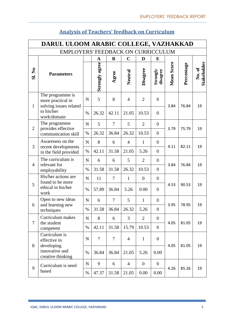|                | DARUL ULOOM ARABIC COLLEGE, VAZHAKKAD                                         |             |                |                |                |                  |                      |            |            |                      |  |  |
|----------------|-------------------------------------------------------------------------------|-------------|----------------|----------------|----------------|------------------|----------------------|------------|------------|----------------------|--|--|
|                | EMPLOYERS' FEEDBACK ON CURRICCULUM                                            |             |                |                |                |                  |                      |            |            |                      |  |  |
|                |                                                                               |             | $\mathbf A$    | B              | $\mathbf C$    | D                | E                    |            |            |                      |  |  |
| <b>SI. No</b>  | <b>Parameters</b>                                                             |             | Strongly agree | Agree          | Neutral        | Disagree         | Strongly<br>disagree | Mean Score | Percentage | Stakeholder<br>No.of |  |  |
| $\mathbf{1}$   | The programme is<br>more practical in<br>solving issues related<br>to his/her | $\mathbf N$ | 5              | 8              | $\overline{4}$ | $\overline{2}$   | $\overline{0}$       | 3.84       | 76.84      | 19                   |  |  |
|                | work/domain                                                                   | $\%$        | 26.32          | 42.11          | 21.05          | 10.53            | $\overline{0}$       |            |            |                      |  |  |
| $\overline{2}$ | The programme<br>provides effective                                           | $\mathbf N$ | 5              | $\overline{7}$ | 5              | $\overline{2}$   | $\overline{0}$       | 3.79       | 75.79      | 19                   |  |  |
|                | communication skill                                                           | $\%$        | 26.32          | 36.84          | 26.32          | 10.53            | $\overline{0}$       |            |            |                      |  |  |
| 3              | Awareness on the<br>recent developments                                       | N           | 8              | 6              | $\overline{4}$ | $\mathbf{1}$     | $\boldsymbol{0}$     | 4.11       | 82.11      | 19                   |  |  |
|                | in the field provided                                                         | $\%$        | 42.11          | 31.58          | 21.05          | 5.26             | $\overline{0}$       |            |            |                      |  |  |
| $\overline{4}$ | The curriculum is<br>relevant for                                             | N           | 6              | 6              | 5              | $\overline{2}$   | $\overline{0}$       | 3.84       | 76.84      | 19                   |  |  |
|                | employability                                                                 | %           | 31.58          | 31.58          | 26.32          | 10.53            | $\overline{0}$       |            |            |                      |  |  |
|                | His/her actions are<br>found to be more                                       | $\mathbf N$ | 11             | $\overline{7}$ | $\mathbf{1}$   | $\boldsymbol{0}$ | $\overline{0}$       |            |            |                      |  |  |
| 5              | ethical in his/her<br>work                                                    | $\%$        | 57.89          | 36.84          | 5.26           | 0.00             | $\overline{0}$       | 4.53       | 90.53      | 19                   |  |  |
| 6              | Open to new ideas<br>and learning new                                         | $\mathbf N$ | 6              | $\overline{7}$ | 5              | $\mathbf{1}$     | $\overline{0}$       | 3.95       | 78.95      | 19                   |  |  |
|                | techniques                                                                    | %           | 31.58          | 36.84          | 26.32          | 5.26             | $\boldsymbol{0}$     |            |            |                      |  |  |
| $\overline{7}$ | Curriculum makes<br>the student                                               | ${\bf N}$   | 8              | 6              | 3              | $\overline{2}$   | $\boldsymbol{0}$     | 4.05       | 81.05      | 19                   |  |  |
|                | competent                                                                     | %           | 42.11          | 31.58          | 15.79          | 10.53            | $\overline{0}$       |            |            |                      |  |  |
| 8              | Curriculum is<br>effective in<br>developing                                   | $\mathbf N$ | $\overline{7}$ | $\tau$         | $\overline{4}$ | $\mathbf{1}$     | $\boldsymbol{0}$     | 4.05       | 81.05      | 19                   |  |  |
|                | innovative and<br>creative thinking                                           | $\%$        | 36.84          | 36.84          | 21.05          | 5.26             | 0.00                 |            |            |                      |  |  |
| 9              | Curriculum is need                                                            | ${\bf N}$   | 9              | 6              | $\overline{4}$ | $\boldsymbol{0}$ | $\boldsymbol{0}$     | 4.26       | 85.26      | 19                   |  |  |
|                | based                                                                         | %           | 47.37          | 31.58          | 21.05          | 0.00             | 0.00                 |            |            |                      |  |  |

# **Analysis of Teachers' feedback on Curriculum**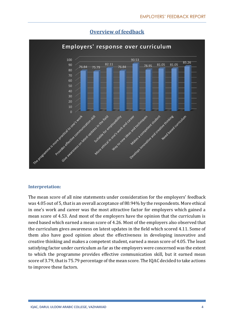

## **Overview of feedback**

#### **Interpretation:**

The mean score of all nine statements under consideration for the employers' feedback was 4.05 out of 5, that is an overall acceptance of 80.94% by the respondents. More ethical in one's work and career was the most attractive factor for employers which gained a mean score of 4.53. And most of the employers have the opinion that the curriculum is need based which earned a mean score of 4.26. Most of the employers also observed that the curriculum gives awareness on latest updates in the field which scored 4.11. Some of them also have good opinion about the effectiveness in developing innovative and creative thinking and makes a competent student, earned a mean score of 4.05. The least satisfying factor under curriculum as far as the employers were concerned was the extent to which the programme provides effective communication skill, but it earned mean score of 3.79, that is 75.79 percentage of the mean score. The IQAC decided to take actions to improve these factors.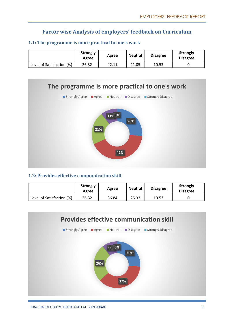# **Factor wise Analysis of employers' feedback on Curriculum**

|                           | <b>Strongly</b><br>Agree | Agree | <b>Neutral</b> | <b>Disagree</b> | <b>Strongly</b><br><b>Disagree</b> |
|---------------------------|--------------------------|-------|----------------|-----------------|------------------------------------|
| Level of Satisfaction (%) | 26.32                    | 42.11 | 21.05          | 10.53           |                                    |





#### **1.2: Provides effective communication skill**

|                           | <b>Strongly</b><br>Agree | Agree | <b>Neutral</b> | <b>Disagree</b> | <b>Strongly</b><br><b>Disagree</b> |
|---------------------------|--------------------------|-------|----------------|-----------------|------------------------------------|
| Level of Satisfaction (%) | 26.32                    | 36.84 | 26.32          | 10.53           |                                    |

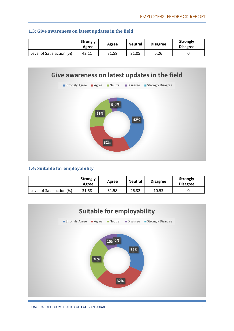|                           | <b>Strongly</b><br>Agree | Agree | <b>Neutral</b> | <b>Disagree</b> | <b>Strongly</b><br><b>Disagree</b> |
|---------------------------|--------------------------|-------|----------------|-----------------|------------------------------------|
| Level of Satisfaction (%) | 42.11                    | 31.58 | 21.05          | 5.26            |                                    |





#### **1.4: Suitable for employability**

|                           | <b>Strongly</b><br>Agree | Agree | <b>Neutral</b> | <b>Disagree</b> | <b>Strongly</b><br><b>Disagree</b> |
|---------------------------|--------------------------|-------|----------------|-----------------|------------------------------------|
| Level of Satisfaction (%) | 31.58                    | 31.58 | 26.32          | 10.53           |                                    |

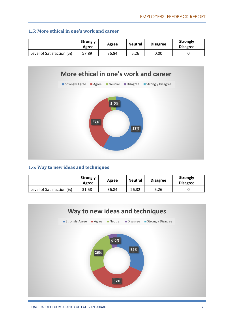# **1.5: More ethical in one's work and career**

|                           | <b>Strongly</b><br>Agree | Agree | <b>Neutral</b> | <b>Disagree</b> | <b>Strongly</b><br><b>Disagree</b> |
|---------------------------|--------------------------|-------|----------------|-----------------|------------------------------------|
| Level of Satisfaction (%) | 57.89                    | 36.84 | 5.26           | 0.00            |                                    |



# **1.6: Way to new ideas and techniques**

|                           | <b>Strongly</b><br>Agree | Agree | <b>Neutral</b> | <b>Disagree</b> | <b>Strongly</b><br><b>Disagree</b> |
|---------------------------|--------------------------|-------|----------------|-----------------|------------------------------------|
| Level of Satisfaction (%) | 31.58                    | 36.84 | 26.32          | 5.26            |                                    |

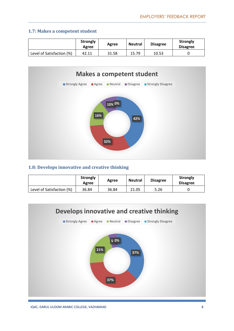#### **1.7: Makes a competent student**

|                           | <b>Strongly</b><br>Agree | Agree | <b>Neutral</b> | <b>Disagree</b> | <b>Strongly</b><br><b>Disagree</b> |
|---------------------------|--------------------------|-------|----------------|-----------------|------------------------------------|
| Level of Satisfaction (%) | 42.11                    | 31.58 | 15.79          | 10.53           |                                    |



## **1.8: Develops innovative and creative thinking**

|                           | <b>Strongly</b><br>Agree | Agree | <b>Neutral</b> | <b>Disagree</b> | <b>Strongly</b><br><b>Disagree</b> |
|---------------------------|--------------------------|-------|----------------|-----------------|------------------------------------|
| Level of Satisfaction (%) | 36.84                    | 36.84 | 21.05          | 5.26            |                                    |